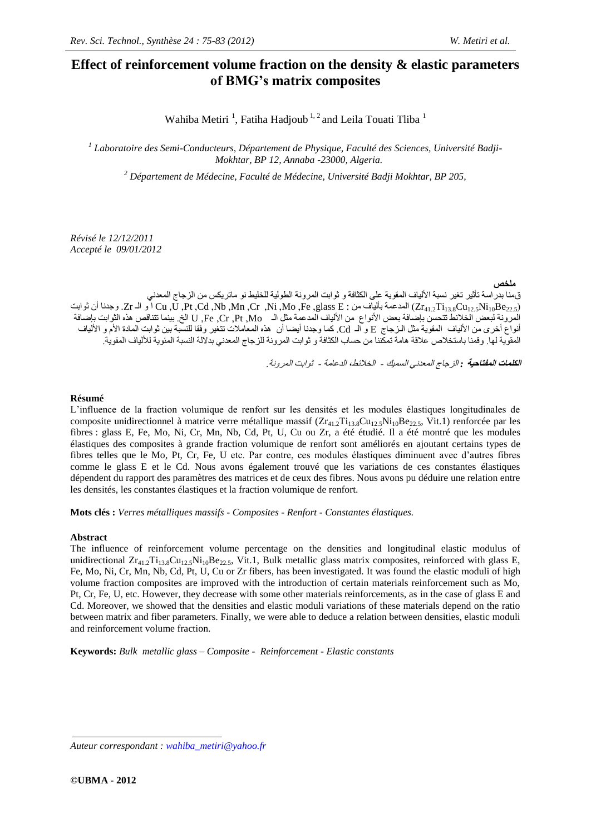# **Effect of reinforcement volume fraction on the density & elastic parameters of BMG's matrix composites**

Wahiba Metiri<sup>1</sup>, Fatiha Hadjoub<sup>1,2</sup> and Leila Touati Tliba<sup>1</sup>

*1 Laboratoire des Semi-Conducteurs, Département de Physique, Faculté des Sciences, Université Badji-Mokhtar, BP 12, Annaba -23000, Algeria.*

*<sup>2</sup> Département de Médecine, Faculté de Médecine, Université Badji Mokhtar, BP 205,*

*Révisé le 12/12/2011 Accepté le 09/01/2012*

**ملخص**

ق منا بدراسة تأثير تغير نسبة الألياف المقوية على الكثافة و ثوابت المرونة الطولية للخليط نو ماتريكس من الزجاج المعدني أن و Zr41.2Ti<sub>13.8</sub>Cu<sub>12.5</sub>Ni<sub>10</sub>Be<sub>22.5</sub>) المدعمة بألياف من : Mo ,Fe ,glass E و Cu ,U ,Pt ,Cd ,Nb ,Mn ,Cr ,Ni ,Mo ,Fe وجدنا أن ثوابت المرونة لبعض الخلانط تتحسن بإضافة بعض الأنواع من الألياف المدعمة مثل الـ U ,Fe ,Cr ,Pt ,Mo الخ. بينما تتناقص هذه الثوابت بإضافة أنواع أخرى من الألياف المقوية مثل الـزجاج E و الـ Cd. كما وجدنا أيضـا أن هذه المعاملات تتغير وفقا للنسبة بين ثوابت المادة الأم و الألياف المقوية لها. وقمنا باستخلاص علاقة هامة تمكّننا من حساب الكثافة و ثوابت المرونة للزجاج المعدني بدلالة النسبة المئوية للألياف المقوية.

**الكلمات المفتاحية** *:* الزجبج المعذوي السميك - الخالئط، الذعبمت - ثىابج المزووت.

#### **Résumé**

L'influence de la fraction volumique de renfort sur les densités et les modules élastiques longitudinales de composite unidirectionnel à matrice verre métallique massif  $(Zr_{41.2}Ti_{13.8}Cu_{12.5}Ni_{10}Be_{22.5}$ , Vit.1) renforcée par les fibres : glass E, Fe, Mo, Ni, Cr, Mn, Nb, Cd, Pt, U, Cu ou Zr, a été étudié. Il a été montré que les modules élastiques des composites à grande fraction volumique de renfort sont améliorés en ajoutant certains types de fibres telles que le Mo, Pt, Cr, Fe, U etc. Par contre, ces modules élastiques diminuent avec d'autres fibres comme le glass E et le Cd. Nous avons également trouvé que les variations de ces constantes élastiques dépendent du rapport des paramètres des matrices et de ceux des fibres. Nous avons pu déduire une relation entre les densités, les constantes élastiques et la fraction volumique de renfort.

**Mots clés :** *Verres métalliques massifs - Composites - Renfort - Constantes élastiques.*

#### **Abstract**

The influence of reinforcement volume percentage on the densities and longitudinal elastic modulus of unidirectional  $Zr_{41,2}Ti_{13,8}Cu_{12,5}Ni_{10}Be_{22,5}$ , Vit.1, Bulk metallic glass matrix composites, reinforced with glass E, Fe, Mo, Ni, Cr, Mn, Nb, Cd, Pt, U, Cu or Zr fibers, has been investigated. It was found the elastic moduli of high volume fraction composites are improved with the introduction of certain materials reinforcement such as Mo, Pt, Cr, Fe, U, etc. However, they decrease with some other materials reinforcements, as in the case of glass E and Cd. Moreover, we showed that the densities and elastic moduli variations of these materials depend on the ratio between matrix and fiber parameters. Finally, we were able to deduce a relation between densities, elastic moduli and reinforcement volume fraction.

**Keywords:** *Bulk metallic glass – Composite - Reinforcement - Elastic constants*

*Auteur correspondant : [wahiba\\_metiri@yahoo.fr](mailto:wahiba_metiri@yahoo.fr)*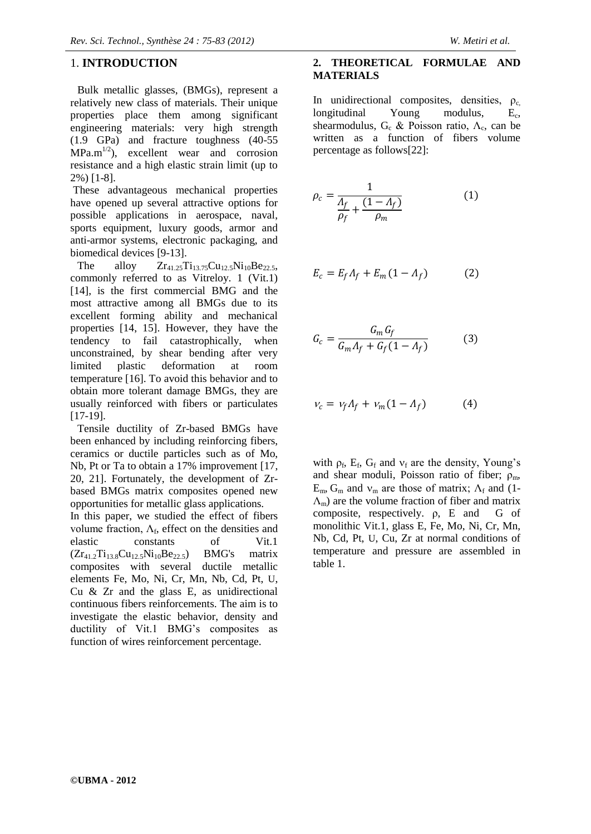# 1. **INTRODUCTION**

Bulk metallic glasses, (BMGs), represent a relatively new class of materials. Their unique properties place them among significant engineering materials: very high strength (1.9 GPa) and fracture toughness (40-55  $MPa.m^{1/2}$ , excellent wear and corrosion resistance and a high elastic strain limit (up to 2%) [1-8].

These advantageous mechanical properties have opened up several attractive options for possible applications in aerospace, naval, sports equipment, luxury goods, armor and anti-armor systems, electronic packaging, and biomedical devices [9-13].

The alloy  $Zr_{41,25}Ti_{13,75}Cu_{12,5}Ni_{10}Be_{22,5}$ , commonly referred to as Vitreloy. 1 (Vit.1) [14], is the first commercial BMG and the most attractive among all BMGs due to its excellent forming ability and mechanical properties [14, 15]. However, they have the tendency to fail catastrophically, when unconstrained, by shear bending after very limited plastic deformation at room temperature [16]. To avoid this behavior and to obtain more tolerant damage BMGs, they are usually reinforced with fibers or particulates [17-19].

Tensile ductility of Zr-based BMGs have been enhanced by including reinforcing fibers, ceramics or ductile particles such as of Mo, Nb, Pt or Ta to obtain a 17% improvement [17, 20, 21]. Fortunately, the development of Zrbased BMGs matrix composites opened new opportunities for metallic glass applications.

In this paper, we studied the effect of fibers volume fraction,  $\Lambda_f$ , effect on the densities and elastic constants of Vit.1  $(Zr_{41.2}Ti_{13.8}Cu_{12.5}Ni_{10}Be_{22.5})$  BMG's matrix composites with several ductile metallic elements Fe, Mo, Ni, Cr, Mn, Nb, Cd, Pt, U, Cu & Zr and the glass E, as unidirectional continuous fibers reinforcements. The aim is to investigate the elastic behavior, density and ductility of Vit.1 BMG's composites as function of wires reinforcement percentage.

### **2. THEORETICAL FORMULAE AND MATERIALS**

In unidirectional composites, densities,  $\rho_c$ , longitudinal Young modulus,  $E_c$ , longitudinal  $E_{c}$ shearmodulus,  $G_c$  & Poisson ratio,  $\Lambda_c$ , can be written as a function of fibers volume percentage as follows[22]:

$$
\rho_c = \frac{1}{\frac{\Lambda_f}{\rho_f} + \frac{(1 - \Lambda_f)}{\rho_m}}
$$
(1)

$$
E_c = E_f \Lambda_f + E_m (1 - \Lambda_f) \tag{2}
$$

$$
G_c = \frac{G_m G_f}{G_m \Lambda_f + G_f (1 - \Lambda_f)}
$$
(3)

$$
v_c = v_f \Lambda_f + v_m (1 - \Lambda_f) \tag{4}
$$

with  $\rho_f$ ,  $E_f$ ,  $G_f$  and  $v_f$  are the density, Young's and shear moduli, Poisson ratio of fiber;  $\rho_m$ ,  $E_m$ ,  $G_m$  and  $v_m$  are those of matrix;  $\Lambda_f$  and (1- $(\Lambda_{m})$  are the volume fraction of fiber and matrix composite, respectively. ρ, E and G of monolithic Vit.1, glass E, Fe, Mo, Ni, Cr, Mn, Nb, Cd, Pt, U, Cu, Zr at normal conditions of temperature and pressure are assembled in table 1.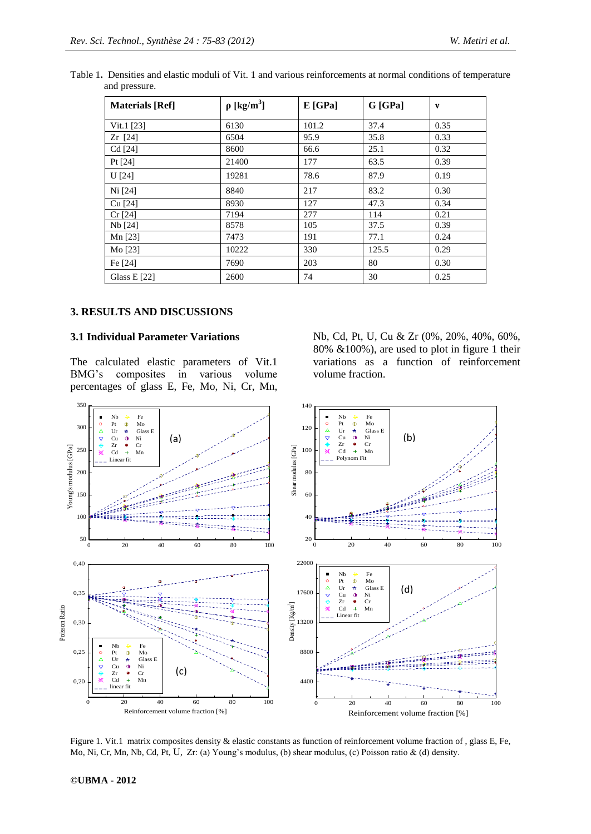| <b>Materials</b> [Ref] | $\rho$ [kg/m <sup>3</sup> ] | $E$ [GPa] | G [GPa] | v    |
|------------------------|-----------------------------|-----------|---------|------|
| Vit.1 $[23]$           | 6130                        | 101.2     | 37.4    | 0.35 |
| $Zr$ [24]              | 6504                        | 95.9      | 35.8    | 0.33 |
| Cd [24]                | 8600                        | 66.6      | 25.1    | 0.32 |
| Pt $[24]$              | 21400                       | 177       | 63.5    | 0.39 |
| $U$ [24]               | 19281                       | 78.6      | 87.9    | 0.19 |
| Ni [24]                | 8840                        | 217       | 83.2    | 0.30 |
| $Cu$ [24]              | 8930                        | 127       | 47.3    | 0.34 |
| $Cr$ [24]              | 7194                        | 277       | 114     | 0.21 |
| Nb [24]                | 8578                        | 105       | 37.5    | 0.39 |
| Mn [23]                | 7473                        | 191       | 77.1    | 0.24 |
| Mo [23]                | 10222                       | 330       | 125.5   | 0.29 |
| Fe [24]                | 7690                        | 203       | 80      | 0.30 |
| Glass E $[22]$         | 2600                        | 74        | 30      | 0.25 |

Table 1**.** Densities and elastic moduli of Vit. 1 and various reinforcements at normal conditions of temperature and pressure.

### **3. RESULTS AND DISCUSSIONS**

#### **3.1 Individual Parameter Variations**

The calculated elastic parameters of Vit.1 BMG's composites in various volume percentages of glass E, Fe, Mo, Ni, Cr, Mn, Nb, Cd, Pt, U, Cu & Zr (0%, 20%, 40%, 60%, 80% &100%), are used to plot in figure 1 their variations as a function of reinforcement volume fraction.



Figure 1. Vit.1 matrix composites density & elastic constants as function of reinforcement volume fraction of, glass E, Fe, Mo, Ni, Cr, Mn, Nb, Cd, Pt, U, Zr: (a) Young's modulus, (b) shear modulus, (c) Poisson ratio & (d) density.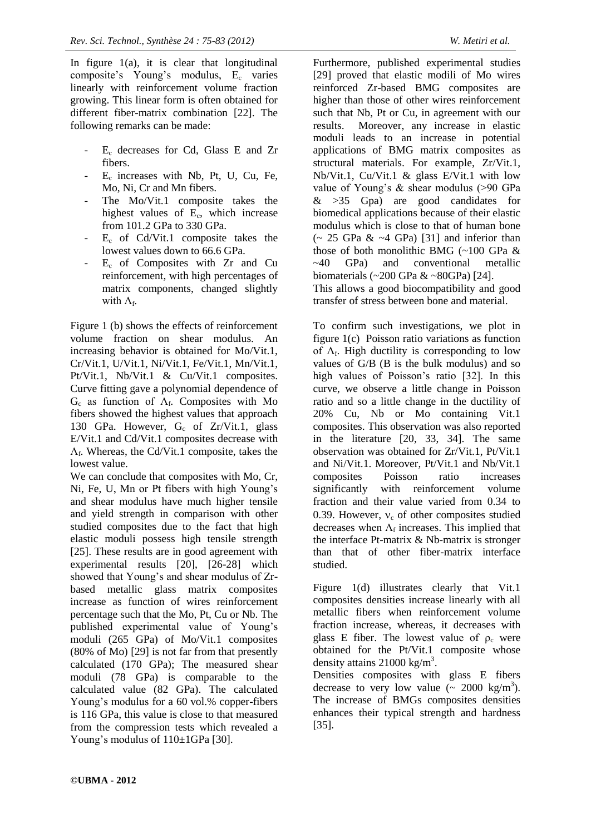In figure  $1(a)$ , it is clear that longitudinal composite's Young's modulus, E<sub>c</sub> varies linearly with reinforcement volume fraction growing. This linear form is often obtained for different fiber-matrix combination [22]. The following remarks can be made:

- E<sub>c</sub> decreases for Cd, Glass E and Zr fibers.
- E<sup>c</sup> increases with Nb, Pt, U, Cu, Fe, Mo, Ni, Cr and Mn fibers.
- The Mo/Vit.1 composite takes the highest values of E<sub>c</sub>, which increase from 101.2 GPa to 330 GPa.
- $E_c$  of Cd/Vit.1 composite takes the lowest values down to 66.6 GPa.
- $E_c$  of Composites with Zr and Cu reinforcement, with high percentages of matrix components, changed slightly with  $\Lambda_{\text{f}}$ .

Figure 1 (b) shows the effects of reinforcement volume fraction on shear modulus. An increasing behavior is obtained for Mo/Vit.1, Cr/Vit.1, U/Vit.1, Ni/Vit.1, Fe/Vit.1, Mn/Vit.1, Pt/Vit.1, Nb/Vit.1 & Cu/Vit.1 composites. Curve fitting gave a polynomial dependence of  $G_c$  as function of  $\Lambda_f$ . Composites with Mo fibers showed the highest values that approach 130 GPa. However,  $G_c$  of Zr/Vit.1, glass E/Vit.1 and Cd/Vit.1 composites decrease with  $\Lambda_f$ . Whereas, the Cd/Vit.1 composite, takes the lowest value.

We can conclude that composites with Mo, Cr, Ni, Fe, U, Mn or Pt fibers with high Young's and shear modulus have much higher tensile and yield strength in comparison with other studied composites due to the fact that high elastic moduli possess high tensile strength [25]. These results are in good agreement with experimental results [20], [26-28] which showed that Young's and shear modulus of Zrbased metallic glass matrix composites increase as function of wires reinforcement percentage such that the Mo, Pt, Cu or Nb. The published experimental value of Young's moduli (265 GPa) of Mo/Vit.1 composites (80% of Mo) [29] is not far from that presently calculated (170 GPa); The measured shear moduli (78 GPa) is comparable to the calculated value (82 GPa). The calculated Young's modulus for a 60 vol.% copper-fibers is 116 GPa, this value is close to that measured from the compression tests which revealed a Young's modulus of  $110\pm1$ GPa [30].

Furthermore, published experimental studies [29] proved that elastic modili of Mo wires reinforced Zr-based BMG composites are higher than those of other wires reinforcement such that Nb, Pt or Cu, in agreement with our results. Moreover, any increase in elastic moduli leads to an increase in potential applications of BMG matrix composites as structural materials. For example, Zr/Vit.1, Nb/Vit.1, Cu/Vit.1 & glass E/Vit.1 with low value of Young's & shear modulus (>90 GPa  $>35$  Gpa) are good candidates for biomedical applications because of their elastic modulus which is close to that of human bone  $\sim$  25 GPa & ~4 GPa) [31] and inferior than those of both monolithic BMG (~100 GPa & ~40 GPa) and conventional metallic biomaterials  $(\sim 200 \text{ GPa} \& \sim 80 \text{ GPa})$  [24]. This allows a good biocompatibility and good transfer of stress between bone and material.

To confirm such investigations, we plot in figure 1(c) Poisson ratio variations as function of  $\Lambda_f$ . High ductility is corresponding to low values of G/B (B is the bulk modulus) and so high values of Poisson's ratio [32]. In this curve, we observe a little change in Poisson ratio and so a little change in the ductility of 20% Cu, Nb or Mo containing Vit.1 composites. This observation was also reported in the literature [20, 33, 34]. The same observation was obtained for Zr/Vit.1, Pt/Vit.1 and Ni/Vit.1. Moreover, Pt/Vit.1 and Nb/Vit.1 composites Poisson ratio increases significantly with reinforcement volume fraction and their value varied from 0.34 to 0.39. However,  $v_c$  of other composites studied decreases when  $\Lambda_f$  increases. This implied that the interface Pt-matrix & Nb-matrix is stronger than that of other fiber-matrix interface studied.

Figure 1(d) illustrates clearly that Vit.1 composites densities increase linearly with all metallic fibers when reinforcement volume fraction increase, whereas, it decreases with glass E fiber. The lowest value of  $\rho_c$  were obtained for the Pt/Vit.1 composite whose density attains  $21000 \text{ kg/m}^3$ .

Densities composites with glass E fibers decrease to very low value  $\left(\sim 2000 \text{ kg/m}^3\right)$ . The increase of BMGs composites densities enhances their typical strength and hardness [35].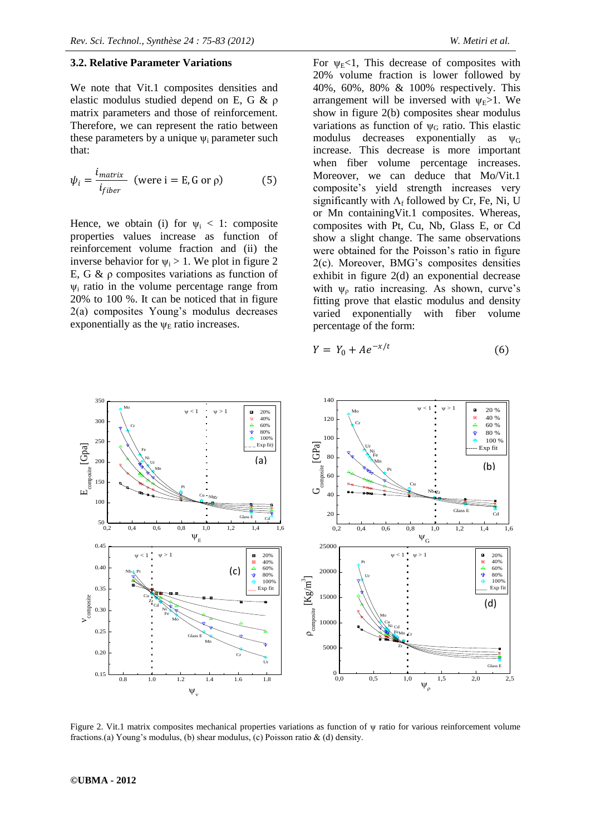#### **3.2. Relative Parameter Variations**

We note that Vit.1 composites densities and elastic modulus studied depend on E, G & ρ matrix parameters and those of reinforcement. Therefore, we can represent the ratio between these parameters by a unique  $\psi_i$  parameter such that:

$$
\psi_i = \frac{i_{matrix}}{i_{fiber}} \text{ (were i = E, G or \rho)} \tag{5}
$$

Hence, we obtain (i) for  $\psi_i < 1$ : composite properties values increase as function of reinforcement volume fraction and (ii) the inverse behavior for  $\psi_i > 1$ . We plot in figure 2 E, G  $\&$   $\rho$  composites variations as function of  $\psi$ <sub>i</sub> ratio in the volume percentage range from 20% to 100 %. It can be noticed that in figure 2(a) composites Young's modulus decreases exponentially as the  $\psi_{\rm E}$  ratio increases.

For  $\nu_F < 1$ . This decrease of composites with 20% volume fraction is lower followed by 40%, 60%, 80% & 100% respectively. This arrangement will be inversed with  $\nu_F > 1$ . We show in figure 2(b) composites shear modulus variations as function of  $\psi$ <sup>G</sup> ratio. This elastic modulus decreases exponentially as  $\Psi_{G}$ increase. This decrease is more important when fiber volume percentage increases. Moreover, we can deduce that Mo/Vit.1 composite's yield strength increases very significantly with  $\Lambda_f$  followed by Cr, Fe, Ni, U or Mn containingVit.1 composites. Whereas, composites with Pt, Cu, Nb, Glass E, or Cd show a slight change. The same observations were obtained for the Poisson's ratio in figure 2(c). Moreover, BMG's composites densities exhibit in figure 2(d) an exponential decrease with  $\psi_0$  ratio increasing. As shown, curve's fitting prove that elastic modulus and density varied exponentially with fiber volume percentage of the form:

$$
Y = Y_0 + Ae^{-x/t} \tag{6}
$$



Figure 2. Vit.1 matrix composites mechanical properties variations as function of ψ ratio for various reinforcement volume fractions.(a) Young's modulus, (b) shear modulus, (c) Poisson ratio & (d) density.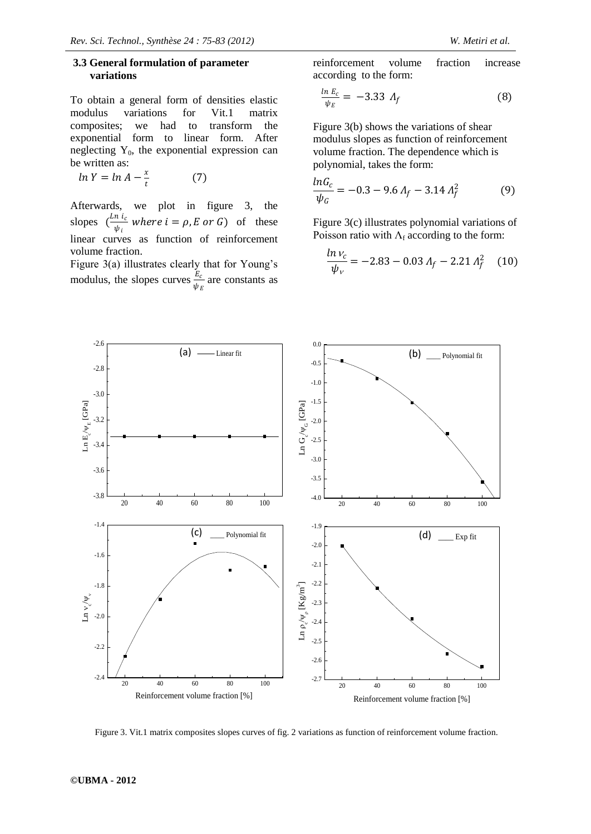### **3.3 General formulation of parameter variations**

To obtain a general form of densities elastic modulus variations for Vit.1 matrix composites; we had to transform the exponential form to linear form. After neglecting  $Y_0$ , the exponential expression can be written as:

 $ln Y = ln A - \frac{x}{t}$  $t$ (7)

Afterwards, we plot in figure 3, the slopes  $\left(\frac{Ln\ i_c}{\mu}\right)$  $\frac{h_i}{\psi_i}$  where  $i = \rho, E$  or G) of these linear curves as function of reinforcement volume fraction.

Figure 3(a) illustrates clearly that for Young's modulus, the slopes curves  $\frac{E_c}{\psi_E}$  are constants as reinforcement volume fraction increase according to the form:

$$
\frac{\ln E_c}{\psi_E} = -3.33 \ A_f \tag{8}
$$

Figure 3(b) shows the variations of shear modulus slopes as function of reinforcement volume fraction. The dependence which is polynomial, takes the form:

$$
\frac{\ln G_c}{\psi_G} = -0.3 - 9.6 \, A_f - 3.14 \, A_f^2 \tag{9}
$$

Figure 3(c) illustrates polynomial variations of Poisson ratio with  $\Lambda_f$  according to the form:

$$
\frac{\ln v_c}{\psi_v} = -2.83 - 0.03 \, A_f - 2.21 \, A_f^2 \quad (10)
$$



Figure 3. Vit.1 matrix composites slopes curves of fig. 2 variations as function of reinforcement volume fraction.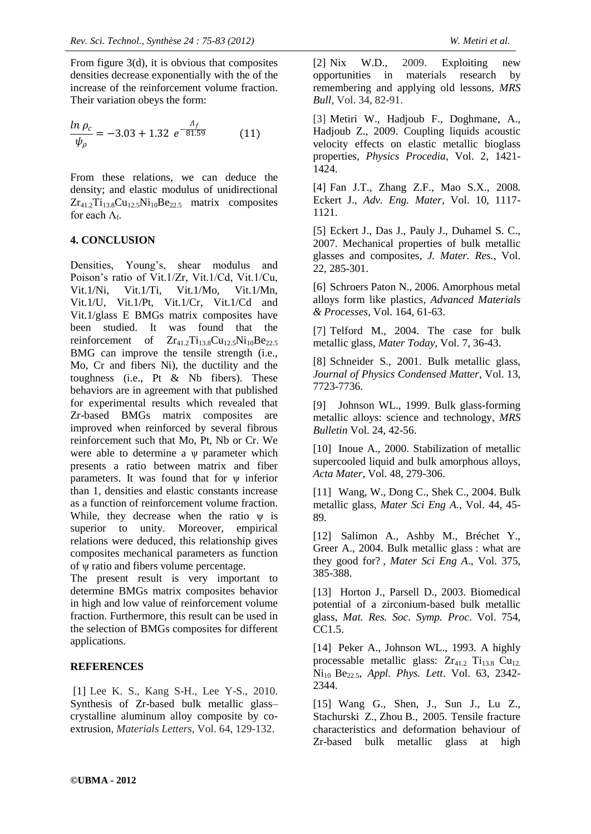From figure 3(d), it is obvious that composites densities decrease exponentially with the of the increase of the reinforcement volume fraction. Their variation obeys the form:

$$
\frac{\ln \rho_c}{\psi_\rho} = -3.03 + 1.32 e^{-\frac{\Lambda_f}{81.59}} \tag{11}
$$

From these relations, we can deduce the density; and elastic modulus of unidirectional  $Zr_{41.2}Ti_{13.8}Cu_{12.5}Ni_{10}Be_{22.5}$  matrix composites for each  $\Lambda_{\text{f}}$ .

### **4. CONCLUSION**

Densities, Young's, shear modulus and Poison's ratio of Vit.1/Zr, Vit.1/Cd, Vit.1/Cu, Vit.1/Ni, Vit.1/Ti, Vit.1/Mo, Vit.1/Mn, Vit.1/U, Vit.1/Pt, Vit.1/Cr, Vit.1/Cd and Vit.1/glass E BMGs matrix composites have been studied. It was found that the reinforcement of  $Zr_{41.2}Ti_{13.8}Cu_{12.5}Ni_{10}Be_{22.5}$ BMG can improve the tensile strength (i.e., Mo, Cr and fibers Ni), the ductility and the toughness (i.e., Pt & Nb fibers). These behaviors are in agreement with that published for experimental results which revealed that Zr-based BMGs matrix composites are improved when reinforced by several fibrous reinforcement such that Mo, Pt, Nb or Cr. We were able to determine a ψ parameter which presents a ratio between matrix and fiber parameters. It was found that for ψ inferior than 1, densities and elastic constants increase as a function of reinforcement volume fraction. While, they decrease when the ratio  $\psi$  is superior to unity. Moreover, empirical relations were deduced, this relationship gives composites mechanical parameters as function of ψ ratio and fibers volume percentage.

The present result is very important to determine BMGs matrix composites behavior in high and low value of reinforcement volume fraction. Furthermore, this result can be used in the selection of BMGs composites for different applications.

# **REFERENCES**

[1] Lee K. S., Kang S-H., Lee Y-S., 2010. [Synthesis of Zr-based bulk metallic glass–](http://www.journalogy.net/Publication/40521240/synthesis-of-zr-based-bulk-metallic-glass-crystalline-aluminum-alloy-composite-by-co-extrusion) [crystalline aluminum alloy composite by co](http://www.journalogy.net/Publication/40521240/synthesis-of-zr-based-bulk-metallic-glass-crystalline-aluminum-alloy-composite-by-co-extrusion)[extrusion,](http://www.journalogy.net/Publication/40521240/synthesis-of-zr-based-bulk-metallic-glass-crystalline-aluminum-alloy-composite-by-co-extrusion) *Materials Letters*, Vol. 64, 129-132.

[2] Nix W.D., 2009. Exploiting new opportunities in materials research by remembering and applying old lessons, *MRS Bull*, Vol. 34, 82-91.

[3] Metiri W., Hadjoub F., Doghmane, A., Hadjoub Z., 2009. Coupling liquids acoustic velocity effects on elastic metallic bioglass properties, *Physics Procedia*, Vol. 2, 1421- 1424.

[4] Fan J.T., Zhang Z.F., Mao S.X., 2008. Eckert J., *Adv. Eng. Mater*, Vol. 10, 1117- 1121.

[5] Eckert J., Das J., Pauly J., Duhamel S. C., 2007. Mechanical properties of bulk metallic glasses and composites, *J. Mater. Res.*, Vol. 22, 285-301.

[6] Schroers Paton N., 2006. Amorphous metal alloys form like plastics, *Advanced Materials & Processes*, Vol. 164, 61-63.

[7] Telford M., 2004. The case for bulk metallic glass, *Mater Today,* Vol. 7, 36-43.

[8] Schneider S., 2001. Bulk metallic glass, *Journal of Physics Condensed Matter*, Vol. 13, 7723-7736.

[9] Johnson WL., 1999. Bulk glass-forming metallic alloys: science and technology, *MRS Bulletin* Vol. 24, 42-56.

[10] Inoue A., 2000. Stabilization of metallic supercooled liquid and bulk amorphous alloys, *Acta Mater*, Vol. 48, 279-306.

[11] Wang, W., Dong C., Shek C., 2004. Bulk metallic glass, *Mater Sci Eng A.*, Vol. 44, 45- 89.

[12] Salimon A., Ashby M., Bréchet Y., Greer A., 2004. Bulk metallic glass : what are they good for? , *Mater Sci Eng A*., Vol. 375, 385-388.

[13] Horton J., Parsell D., 2003. Biomedical potential of a zirconium-based bulk metallic glass, *Mat. Res. Soc. Symp. Proc*. Vol. 754, CC1.5.

[14] Peker A., Johnson WL., 1993. A highly processable metallic glass:  $Zr_{41.2}$   $Ti_{13.8}$   $Cu_{12.2}$ Ni<sup>10</sup> Be22.5, *Appl. Phys. Lett*. Vol. 63, 2342- 2344.

[15] Wang G., Shen, J., Sun J., Lu Z., Stachurski Z., Zhou B., 2005. Tensile fracture characteristics and deformation behaviour of Zr-based bulk metallic glass at high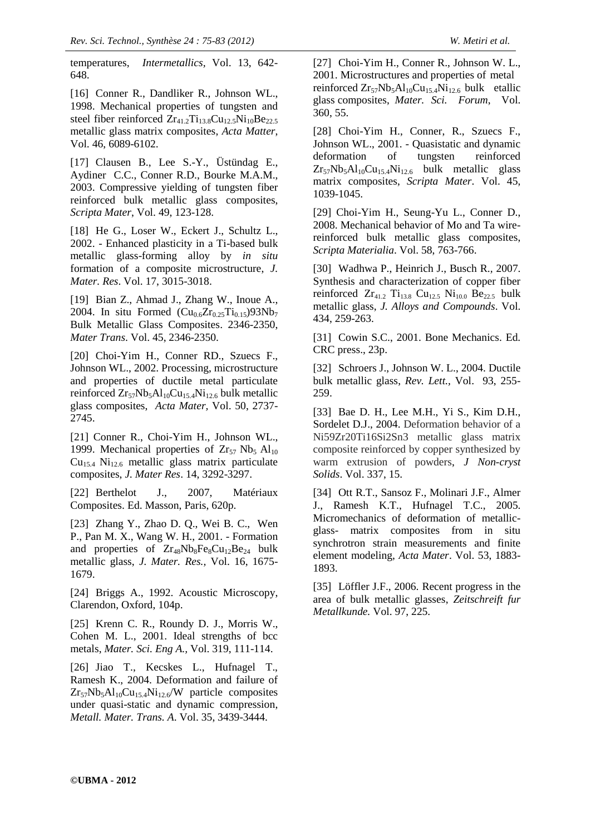temperatures, *Intermetallics,* Vol. 13, 642- 648.

[16] Conner R., Dandliker R., Johnson WL., 1998. Mechanical properties of tungsten and steel fiber reinforced  $Zr_{41.2}Ti_{13.8}Cu_{12.5}Ni_{10}Be_{22.5}$ metallic glass matrix composites, *Acta Matter*, Vol. 46, 6089-6102.

[17] Clausen B., Lee S.-Y., Üstündag E., Aydiner C.C., Conner R.D., Bourke M.A.M., 2003. Compressive yielding of tungsten fiber reinforced bulk metallic glass composites, *Scripta Mater*, Vol. 49, 123-128.

[18] He G., Loser W., Eckert J., Schultz L., 2002. - Enhanced plasticity in a Ti-based bulk metallic glass-forming alloy by *in situ* formation of a composite microstructure, *J. Mater. Res*. Vol. 17, 3015-3018.

[19] Bian Z., Ahmad J., Zhang W., Inoue A., 2004. In situ Formed  $(Cu_{0.6}Zr_{0.25}Ti_{0.15})93Nb_7$ Bulk Metallic Glass Composites. 2346-2350, *Mater Trans*. Vol. 45, 2346-2350.

[20] Choi-Yim H., Conner RD., Szuecs F., Johnson WL., 2002. Processing, microstructure and properties of ductile metal particulate reinforced  $Zr_{57}Nb_5Al_{10}Cu_{15.4}Ni_{12.6}$  bulk metallic glass composites, *Acta Mater,* Vol. 50, 2737- 2745.

[21] Conner R., Choi-Yim H., Johnson WL., 1999. Mechanical properties of  $Zr_{57}$  Nb<sub>5</sub> Al<sub>10</sub>  $Cu<sub>15.4</sub> Ni<sub>12.6</sub> metallic glass matrix particulate$ composites, *J. Mater Res*. 14, 3292-3297.

[22] Berthelot J., 2007, Matériaux Composites. Ed. Masson, Paris, 620p.

[23] Zhang Y., Zhao D. Q., Wei B. C., Wen P., Pan M. X., Wang W. H., 2001. - Formation and properties of  $Zr_{48}Nb_8Fe_8Cu_{12}Be_{24}$  bulk metallic glass, *J. Mater. Res.,* Vol. 16, 1675- 1679.

[24] Briggs A., 1992. Acoustic Microscopy, Clarendon, Oxford, 104p.

[25] Krenn C. R., Roundy D. J., Morris W., Cohen M. L., 2001. [Ideal strengths of bcc](http://dx.doi.org/10.1016/S0921-5093(01)00998-4)  [metals,](http://dx.doi.org/10.1016/S0921-5093(01)00998-4) *Mater. Sci. Eng A.,* Vol. 319, 111-114.

[26] Jiao T., Kecskes L., Hufnagel T., Ramesh K., 2004. Deformation and failure of  $Zr_{57}Nb_5Al_{10}Cu_{15.4}Ni_{12.6}/W$  particle composites under quasi-static and dynamic compression, *Metall. Mater. Trans. A*. Vol. 35, 3439-3444.

[27] Choi-Yim H., Conner R., Johnson W. L., 2001. Microstructures and properties of metal reinforced  $Zr_{57}Nb_5Al_{10}Cu_{15,4}Ni_{12,6}$  bulk etallic glass composites, *Mater. Sci. Forum*, Vol. 360, 55.

[28] Choi-Yim H., Conner, R., Szuecs F., Johnson WL., 2001. - Quasistatic and dynamic deformation of tungsten reinforced  $Zr_{57}Nb_5Al_{10}Cu_{15,4}Ni_{12,6}$  bulk metallic glass matrix composites, *Scripta Mater*. Vol. 45, 1039-1045.

[29] Choi-Yim H., Seung-Yu L., Conner D., 2008. [Mechanical behavior of Mo and Ta wire](http://www.sciencedirect.com/science/article/pii/S1359646207009025)[reinforced bulk metallic glass composites,](http://www.sciencedirect.com/science/article/pii/S1359646207009025) *Scripta Materialia*. Vol. 58, 763-766.

[30] Wadhwa P., Heinrich J., Busch R.*,* 2007. [Synthesis and characterization of copper fiber](http://www.sciencedirect.com/science/article/pii/S0925838806011868)  reinforced  $Zr_{41,2}$  Ti<sub>13.8</sub> Cu<sub>12.5</sub> Ni<sub>10.0</sub> Be<sub>22.5</sub> bulk [metallic glass,](http://www.sciencedirect.com/science/article/pii/S0925838806011868) *J. Alloys and Compounds*. Vol. 434, 259-263.

[31] Cowin S.C., 2001. Bone Mechanics. Ed. CRC press., 23p.

[32] Schroers J., Johnson W. L., 2004. Ductile bulk metallic glass, *Rev. Lett.,* Vol. 93, 255- 259.

[33] Bae D. H., Lee M.H., Yi S., Kim D.H., Sordelet D.J., 2004. Deformation behavior of a Ni59Zr20Ti16Si2Sn3 metallic glass matrix composite reinforced by copper synthesized by warm extrusion of powders, *J Non-cryst Solids*. Vol. 337, 15.

[34] Ott R.T., Sansoz F., Molinari J.F., Almer J., Ramesh K.T., Hufnagel T.C., 2005. Micromechanics of deformation of metallicglass- matrix composites from in situ synchrotron strain measurements and finite element modeling, *Acta Mater*. Vol. 53, 1883- 1893.

[35] Löffler J.F., 2006. Recent progress in the area of bulk metallic glasses, *Zeitschreift fur Metallkunde.* Vol. 97, 225.